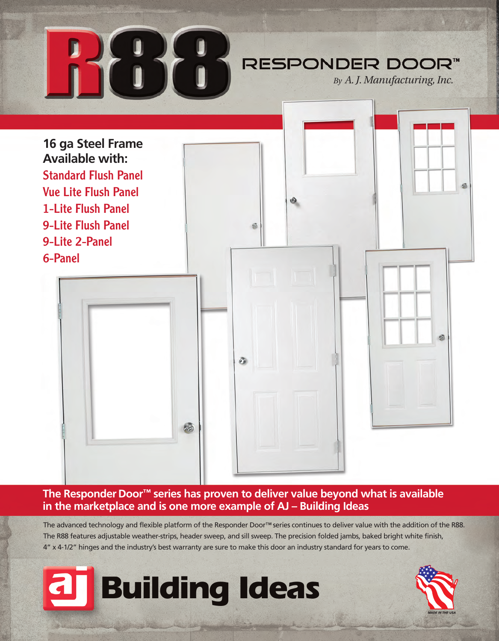

### **The Responder Door™ series has proven to deliver value beyond what is available in the marketplace and is one more example of AJ – Building Ideas**

The advanced technology and flexible platform of the Responder Door™ series continues to deliver value with the addition of the R88. The R88 features adjustable weather-strips, header sweep, and sill sweep. The precision folded jambs, baked bright white finish, 4" x 4-1/2" hinges and the industry's best warranty are sure to make this door an industry standard for years to come.